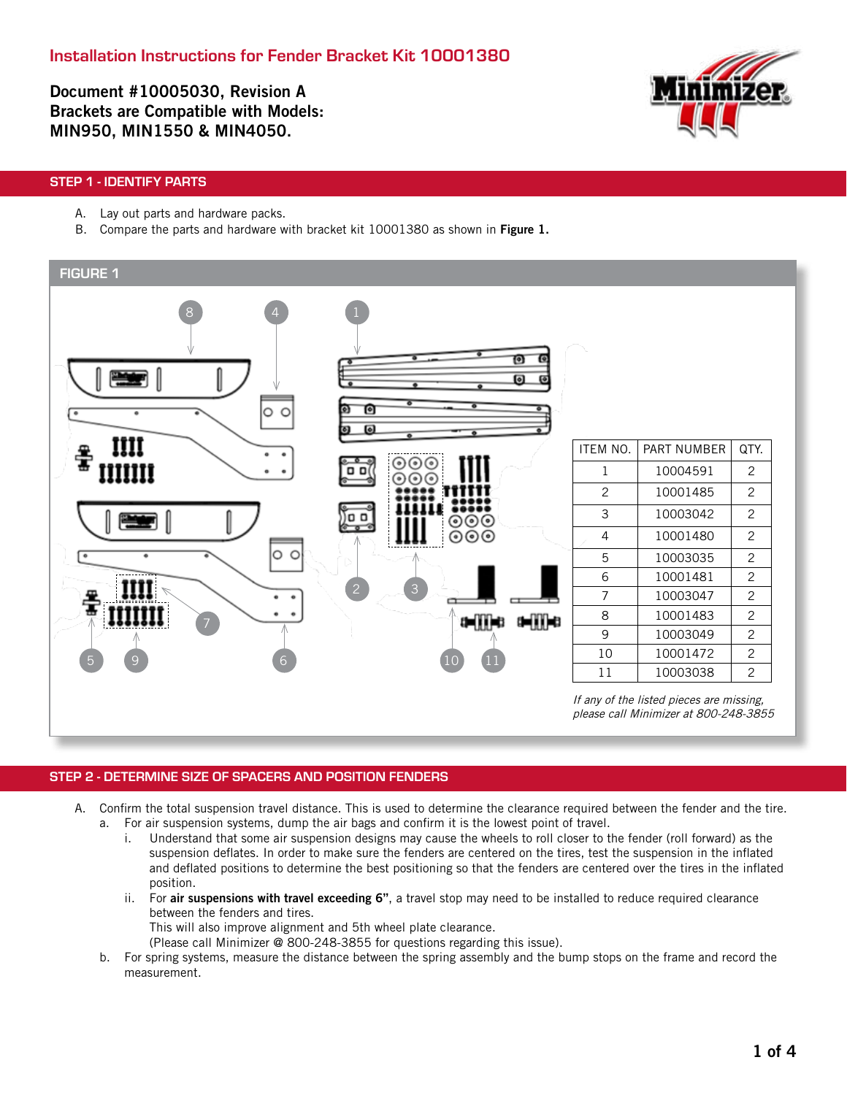Document #10005030, Revision A Brackets are Compatible with Models: MIN950, MIN1550 & MIN4050.



# STEP 1 - IDENTIFY PARTS

- A. Lay out parts and hardware packs.
- B. Compare the parts and hardware with bracket kit 10001380 as shown in Figure 1.



### STEP 2 - DETERMINE SIZE OF SPACERS AND POSITION FENDERS

- A. Confirm the total suspension travel distance. This is used to determine the clearance required between the fender and the tire. a. For air suspension systems, dump the air bags and confirm it is the lowest point of travel.
	- i. Understand that some air suspension designs may cause the wheels to roll closer to the fender (roll forward) as the suspension deflates. In order to make sure the fenders are centered on the tires, test the suspension in the inflated and deflated positions to determine the best positioning so that the fenders are centered over the tires in the inflated position.
	- ii. For air suspensions with travel exceeding 6", a travel stop may need to be installed to reduce required clearance between the fenders and tires.
		- This will also improve alignment and 5th wheel plate clearance.
		- (Please call Minimizer @ 800-248-3855 for questions regarding this issue).
	- b. For spring systems, measure the distance between the spring assembly and the bump stops on the frame and record the measurement.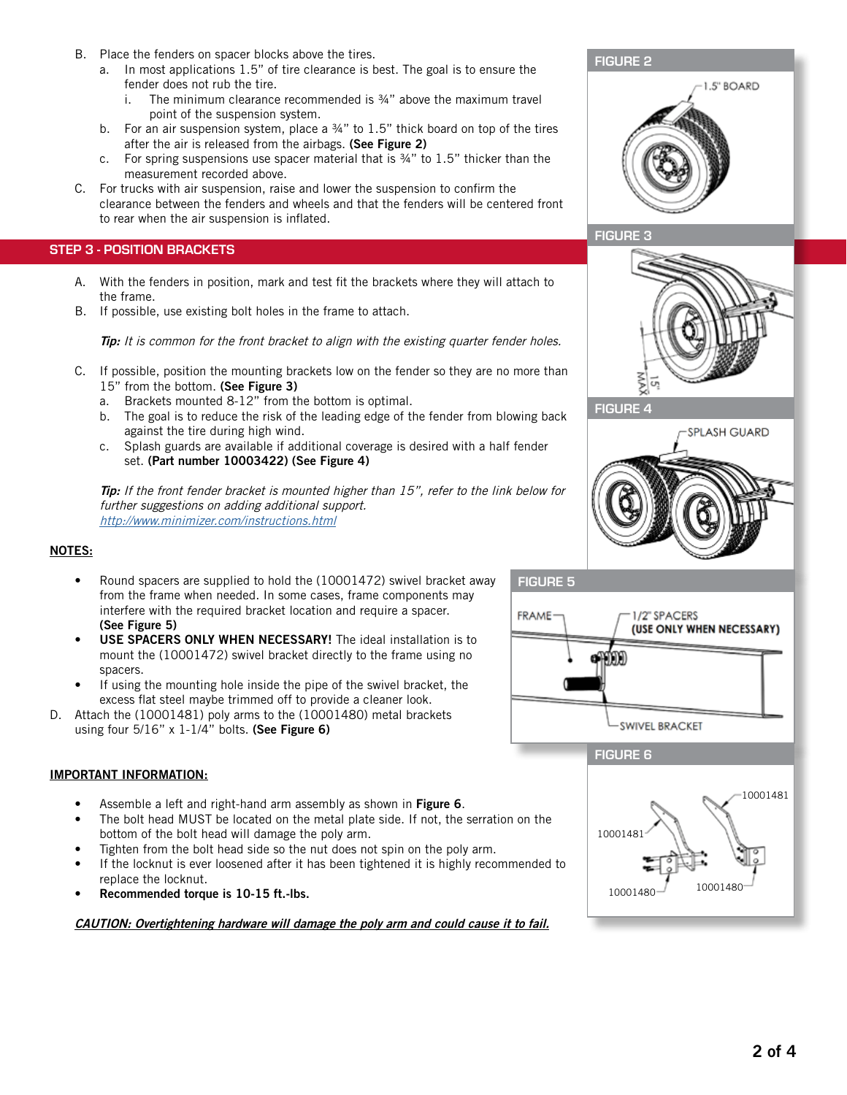- B. Place the fenders on spacer blocks above the tires.
	- a. In most applications 1.5" of tire clearance is best. The goal is to ensure the fender does not rub the tire.
		- i. The minimum clearance recommended is  $\frac{3}{4}$ " above the maximum travel point of the suspension system.
	- b. For an air suspension system, place a  $\frac{3}{4}$ " to 1.5" thick board on top of the tires after the air is released from the airbags. (See Figure 2)
	- c. For spring suspensions use spacer material that is ¾" to 1.5" thicker than the measurement recorded above.
- C. For trucks with air suspension, raise and lower the suspension to confirm the clearance between the fenders and wheels and that the fenders will be centered front to rear when the air suspension is inflated.

# STEP 3 - POSITION BRACKETS

- A. With the fenders in position, mark and test fit the brackets where they will attach to the frame.
- B. If possible, use existing bolt holes in the frame to attach.

Tip: It is common for the front bracket to align with the existing quarter fender holes.

- C. If possible, position the mounting brackets low on the fender so they are no more than 15" from the bottom. (See Figure 3)
	- a. Brackets mounted 8-12" from the bottom is optimal.
	- b. The goal is to reduce the risk of the leading edge of the fender from blowing back against the tire during high wind.
	- c. Splash guards are available if additional coverage is desired with a half fender set. (Part number 10003422) (See Figure 4)

**Tip:** If the front fender bracket is mounted higher than 15", refer to the link below for further suggestions on adding additional support. http://www.minimizer.com/instructions.html

#### NOTES:

- Round spacers are supplied to hold the (10001472) swivel bracket away from the frame when needed. In some cases, frame components may interfere with the required bracket location and require a spacer. (See Figure 5)
- USE SPACERS ONLY WHEN NECESSARY! The ideal installation is to mount the (10001472) swivel bracket directly to the frame using no spacers.
- If using the mounting hole inside the pipe of the swivel bracket, the excess flat steel maybe trimmed off to provide a cleaner look.
- D. Attach the (10001481) poly arms to the (10001480) metal brackets using four  $5/16$ " x  $1-1/4$ " bolts. (See Figure 6)

#### IMPORTANT INFORMATION:

- Assemble a left and right-hand arm assembly as shown in Figure 6.
- The bolt head MUST be located on the metal plate side. If not, the serration on the bottom of the bolt head will damage the poly arm.
- Tighten from the bolt head side so the nut does not spin on the poly arm.
- If the locknut is ever loosened after it has been tightened it is highly recommended to replace the locknut.
- Recommended torque is 10-15 ft.-lbs.

CAUTION: Overtightening hardware will damage the poly arm and could cause it to fail.



# 夏





FIGURE 6

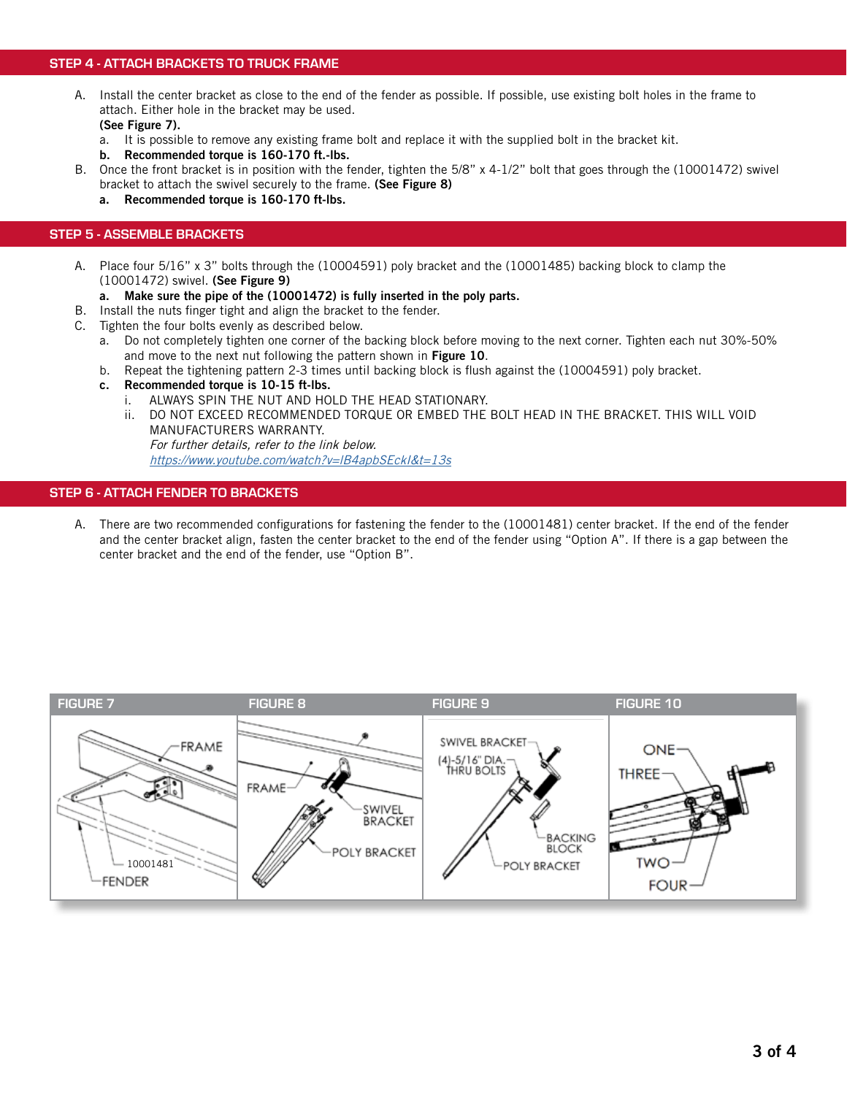#### STEP 4 - ATTACH BRACKETS TO TRUCK FRAME

- A. Install the center bracket as close to the end of the fender as possible. If possible, use existing bolt holes in the frame to attach. Either hole in the bracket may be used. (See Figure 7).
	- a. It is possible to remove any existing frame bolt and replace it with the supplied bolt in the bracket kit.
	- b. Recommended torque is 160-170 ft.-lbs.
- B. Once the front bracket is in position with the fender, tighten the 5/8" x 4-1/2" bolt that goes through the (10001472) swivel bracket to attach the swivel securely to the frame. (See Figure 8)
	- a. Recommended torque is 160-170 ft-lbs.

#### STEP 5 - ASSEMBLE BRACKETS

- A. Place four 5/16" x 3" bolts through the (10004591) poly bracket and the (10001485) backing block to clamp the (10001472) swivel. (See Figure 9)
	- a. Make sure the pipe of the (10001472) is fully inserted in the poly parts.
- B. Install the nuts finger tight and align the bracket to the fender.
- C. Tighten the four bolts evenly as described below.
	- a. Do not completely tighten one corner of the backing block before moving to the next corner. Tighten each nut 30%-50% and move to the next nut following the pattern shown in Figure 10.
	- b. Repeat the tightening pattern 2-3 times until backing block is flush against the (10004591) poly bracket.
	- c. Recommended torque is 10-15 ft-lbs.
		- i. ALWAYS SPIN THE NUT AND HOLD THE HEAD STATIONARY.
		- ii. DO NOT EXCEED RECOMMENDED TORQUE OR EMBED THE BOLT HEAD IN THE BRACKET. THIS WILL VOID MANUFACTURERS WARRANTY. For further details, refer to the link below.

<https://www.youtube.com/watch?v=lB4apbSEckI&t=13s>

#### STEP 6 - ATTACH FENDER TO BRACKETS

A. There are two recommended configurations for fastening the fender to the (10001481) center bracket. If the end of the fender and the center bracket align, fasten the center bracket to the end of the fender using "Option A". If there is a gap between the center bracket and the end of the fender, use "Option B".